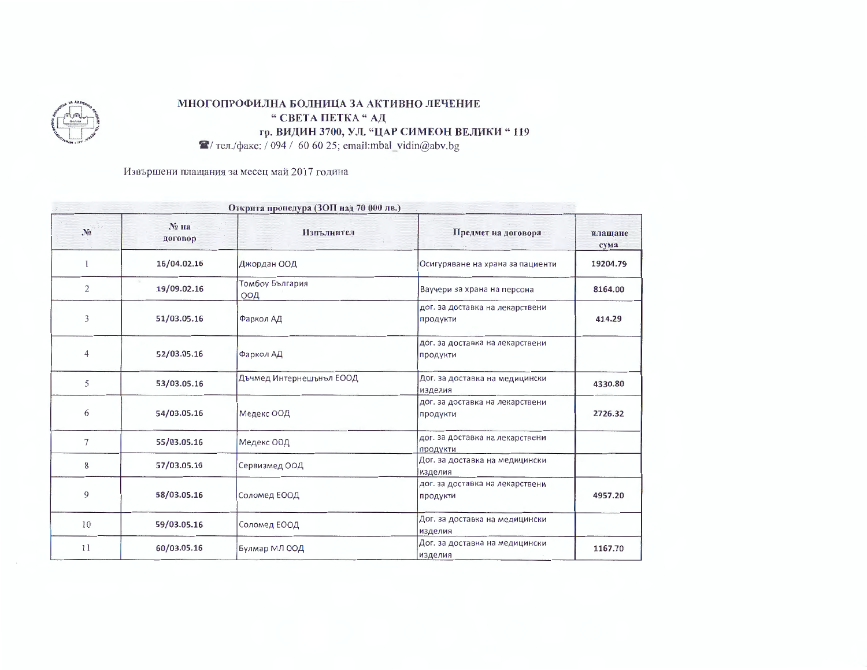

## МНОГОПРОФИЛНА БОЛНИЦА ЗА АКТИВНО ЛЕЧЕНИЕ " СВЕТА ПЕТКА " АД гр. ВИДИН 3700, УЛ. "ЦАР СИМЕОН ВЕЛИКИ "119

 $\blacktriangleright$  тел./факс: / 094 / 60 60 25; email:mbal\_vidin@abv.bg

Извършени плащания за месец май 2017 година

| Открита процедура (ЗОП над 70 000 лв.) |                    |                          |                                             |                 |
|----------------------------------------|--------------------|--------------------------|---------------------------------------------|-----------------|
| N <sub>2</sub>                         | $N2$ Ha<br>договор | Изпълнител               | Предмет на договора                         | плашане<br>сума |
| 1                                      | 16/04.02.16        | Джордан ООД              | Осигуряване на храна за пациенти            | 19204.79        |
| $\overline{2}$                         | 19/09.02.16        | Томбоу България<br>ООД   | Ваучери за храна на персона                 | 8164.00         |
| 3                                      | 51/03.05.16        | Фаркол АД                | дог. за доставка на лекарствени<br>продукти | 414.29          |
| 4                                      | 52/03.05.16        | Фаркол АД                | дог. за доставка на лекарствени<br>продукти |                 |
| 5                                      | 53/03.05.16        | Дъчмед Интернешънъл ЕООД | Дог. за доставка на медицински<br>изделия   | 4330.80         |
| 6                                      | 54/03.05.16        | Медекс ООД               | дог. за доставка на лекарствени<br>продукти | 2726.32         |
| $\tau$                                 | 55/03.05.16        | Медекс ООД               | дог. за доставка на лекарствени<br>ПРОДУКТИ |                 |
| 8                                      | 57/03.05.16        | Сервизмед ООД            | Дог. за доставка на медицински<br>изделия   |                 |
| 9                                      | 58/03.05.16        | Соломед ЕООД             | дог. за доставка на лекарствени<br>продукти | 4957.20         |
| 10                                     | 59/03.05.16        | Соломед ЕООД             | Дог. за доставка на медицински<br>изделия   |                 |
| 11                                     | 60/03.05.16        | Булмар МЛ ООД            | Дог. за доставка на медицински<br>изделия   | 1167.70         |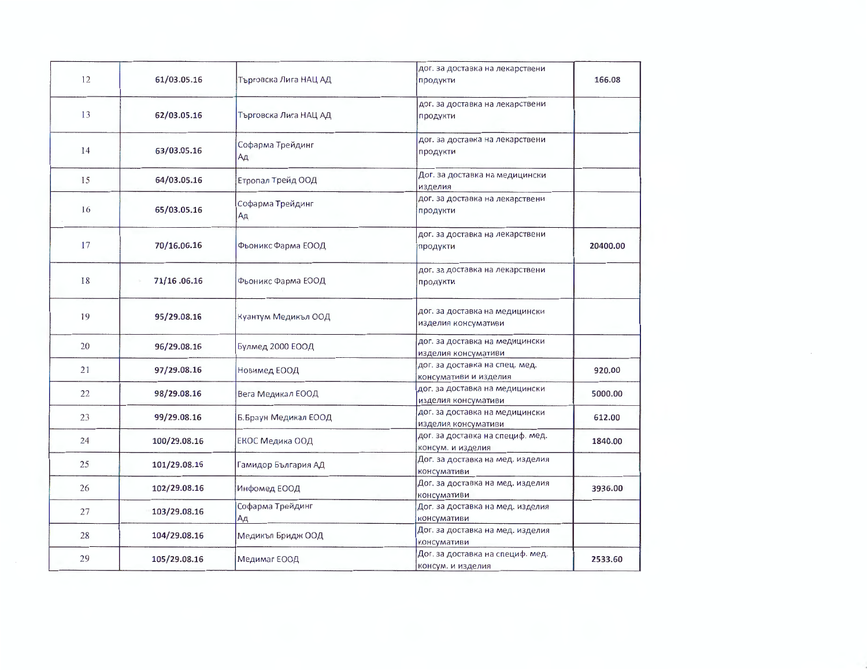| 12 | 61/03.05.16  | Търговска Лига НАЦ АД  | дог. за доставка на лекарствени<br>продукти             | 166.08   |
|----|--------------|------------------------|---------------------------------------------------------|----------|
| 13 | 62/03.05.16  | Търговска Лига НАЦ АД  | дог. за доставка на лекарствени<br>продукти             |          |
| 14 | 63/03.05.16  | Софарма Трейдинг<br>Αд | дог. за доставка на лекарствени<br>продукти             |          |
| 15 | 64/03.05.16  | Етропал Трейд ООД      | Дог. за доставка на медицински<br>изделия               |          |
| 16 | 65/03.05.16  | Софарма Трейдинг<br>Ад | дог. за доставка на лекарствени<br>продукти             |          |
| 17 | 70/16.06.16  | Фьоникс Фарма ЕООД     | дог. за доставка на лекарствени<br>продукти             | 20400.00 |
| 18 | 71/16.06.16  | Фьоникс Фарма ЕООД     | дог. за доставка на лекарствени<br>продукти             |          |
| 19 | 95/29.08.16  | Куантум Медикъл ООД    | дог. за доставка на медицински<br>изделия консумативи   |          |
| 20 | 96/29.08.16  | Булмед 2000 ЕООД       | дог. за доставка на медицински<br>изделия консумативи   |          |
| 21 | 97/29.08.16  | Новимед ЕООД           | дог. за доставка на спец. мед.<br>консумативи и изделия | 920.00   |
| 22 | 98/29.08.16  | Вега Медикал ЕООД      | дог. за доставка на медицински<br>изделия консумативи   | 5000.00  |
| 23 | 99/29.08.16  | Б.Браун Медикал ЕООД   | дог. за доставка на медицински<br>изделия консумативи   | 612.00   |
| 24 | 100/29.08.16 | ЕКОС Медика ООД        | дог. за доставка на специф. мед.<br>консум. и изделия   | 1840.00  |
| 25 | 101/29.08.16 | Гамидор България АД    | Дог. за доставка на мед. изделия<br>консумативи         |          |
| 26 | 102/29.08.16 | Инфомед ЕООД           | Дог. за доставка на мед. изделия<br>консумативи         | 3936.00  |
| 27 | 103/29.08.16 | Софарма Трейдинг<br>Αд | Дог. за доставка на мед. изделия<br>консумативи         |          |
| 28 | 104/29.08.16 | Медикъл Бридж ООД      | Дог. за доставка на мед. изделия<br>консумативи         |          |
| 29 | 105/29.08.16 | Медимаг ЕООД           | Дог. за доставка на специф. мед.<br>консум. и изделия   | 2533.60  |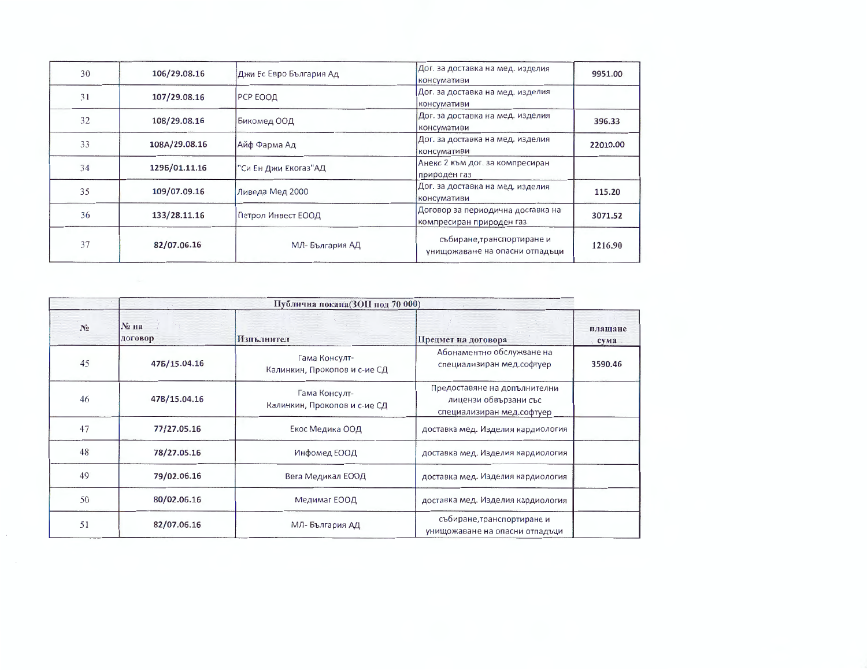| 30 | 106/29.08.16  | Джи Ес Евро България Ад | Дог. за доставка на мед. изделия<br>консумативи               | 9951.00  |
|----|---------------|-------------------------|---------------------------------------------------------------|----------|
| 31 | 107/29.08.16  | РСР ЕООД                | Дог. за доставка на мед. изделия<br>консумативи               |          |
| 32 | 108/29.08.16  | Бикомед ООД             | Дог. за доставка на мед. изделия<br>консумативи               | 396.33   |
| 33 | 108A/29.08.16 | Айф Фарма Ад            | Дог. за доставка на мед. изделия<br>консумативи               | 22010.00 |
| 34 | 1295/01.11.16 | "Си Ен Джи Екогаз"АД    | Анекс 2 към дог. за компресиран<br>природен газ               |          |
| 35 | 109/07.09.16  | Ливеда Мед 2000         | Дог. за доставка на мед. изделия<br>консумативи               | 115.20   |
| 36 | 133/28.11.16  | Петрол Инвест ЕООД      | Договор за периодична доставка на<br>компресиран природен газ | 3071.52  |
| 37 | 82/07.06.16   | МЛ-България АД          | събиране, транспортиране и<br>унищожаване на опасни отпадъци  | 1216.90  |

|                |                    | Публична покана(ЗОП под 70 000)               |                                                                                    |                 |
|----------------|--------------------|-----------------------------------------------|------------------------------------------------------------------------------------|-----------------|
| N <sub>0</sub> | $N2$ на<br>договор | Изпълнител                                    | Предмет на договора                                                                | плащане<br>сума |
| 45             | 475/15.04.16       | Гама Консулт-<br>Калинкин, Прокопов и с-ие СД | Абонаментно обслужване на<br>специализиран мед.софтуер                             | 3590.46         |
| 46             | 47B/15.04.16       | Гама Консулт-<br>Калинкин, Прокопов и с-ие СД | Предоставяне на допълнителни<br>лицензи обвързани със<br>специализиран мед.софтуер |                 |
| 47             | 77/27.05.16        | Екос Медика ООД                               | доставка мед. Изделия кардиология                                                  |                 |
| 48             | 78/27.05.16        | Инфомед ЕООД                                  | доставка мед. Изделия кардиология                                                  |                 |
| 49             | 79/02.06.16        | Вега Медикал ЕООД                             | доставка мед. Изделия кардиология                                                  |                 |
| 50             | 80/02.06.16        | Медимаг ЕООД                                  | доставка мед. Изделия кардиология                                                  |                 |
| 51             | 82/07.06.16        | МЛ-България АД                                | събиране, транспортиране и<br>унищожаване на опасни отпадъци                       |                 |